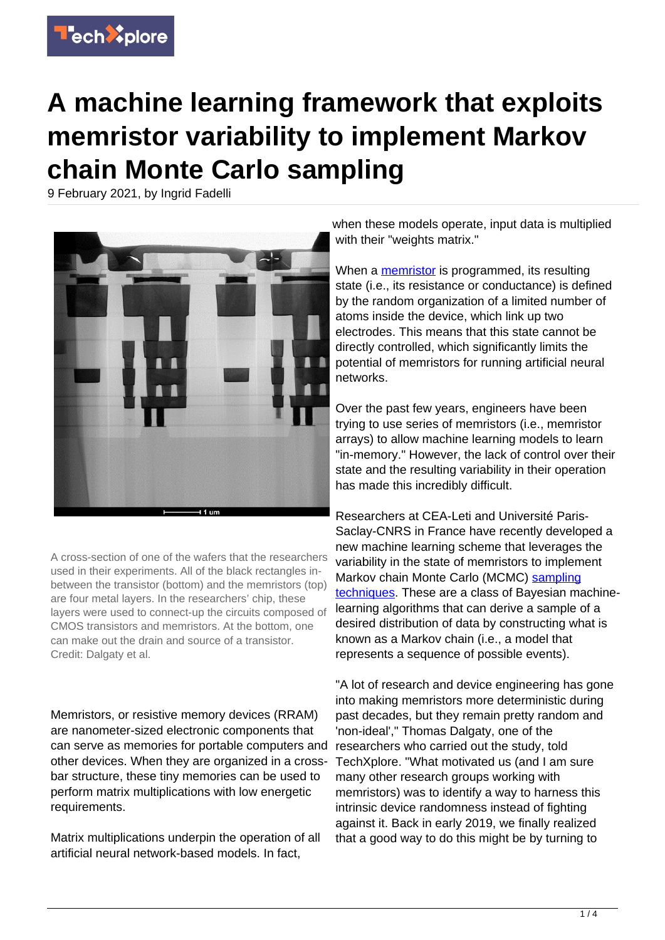

## **A machine learning framework that exploits memristor variability to implement Markov chain Monte Carlo sampling**

9 February 2021, by Ingrid Fadelli



A cross-section of one of the wafers that the researchers used in their experiments. All of the black rectangles inbetween the transistor (bottom) and the memristors (top) are four metal layers. In the researchers' chip, these layers were used to connect-up the circuits composed of CMOS transistors and memristors. At the bottom, one can make out the drain and source of a transistor. Credit: Dalgaty et al.

Memristors, or resistive memory devices (RRAM) are nanometer-sized electronic components that can serve as memories for portable computers and other devices. When they are organized in a crossbar structure, these tiny memories can be used to perform matrix multiplications with low energetic requirements.

Matrix multiplications underpin the operation of all artificial neural network-based models. In fact,

when these models operate, input data is multiplied with their "weights matrix."

When a [memristor](https://techxplore.com/tags/memristor/) is programmed, its resulting state (i.e., its resistance or conductance) is defined by the random organization of a limited number of atoms inside the device, which link up two electrodes. This means that this state cannot be directly controlled, which significantly limits the potential of memristors for running artificial neural networks.

Over the past few years, engineers have been trying to use series of memristors (i.e., memristor arrays) to allow machine learning models to learn "in-memory." However, the lack of control over their state and the resulting variability in their operation has made this incredibly difficult.

Researchers at CEA-Leti and Université Paris-Saclay-CNRS in France have recently developed a new machine learning scheme that leverages the variability in the state of memristors to implement Markov chain Monte Carlo (MCMC) [sampling](https://techxplore.com/tags/sampling+techniques/) [techniques.](https://techxplore.com/tags/sampling+techniques/) These are a class of Bayesian machinelearning algorithms that can derive a sample of a desired distribution of data by constructing what is known as a Markov chain (i.e., a model that represents a sequence of possible events).

"A lot of research and device engineering has gone into making memristors more deterministic during past decades, but they remain pretty random and 'non-ideal'," Thomas Dalgaty, one of the researchers who carried out the study, told TechXplore. "What motivated us (and I am sure many other research groups working with memristors) was to identify a way to harness this intrinsic device randomness instead of fighting against it. Back in early 2019, we finally realized that a good way to do this might be by turning to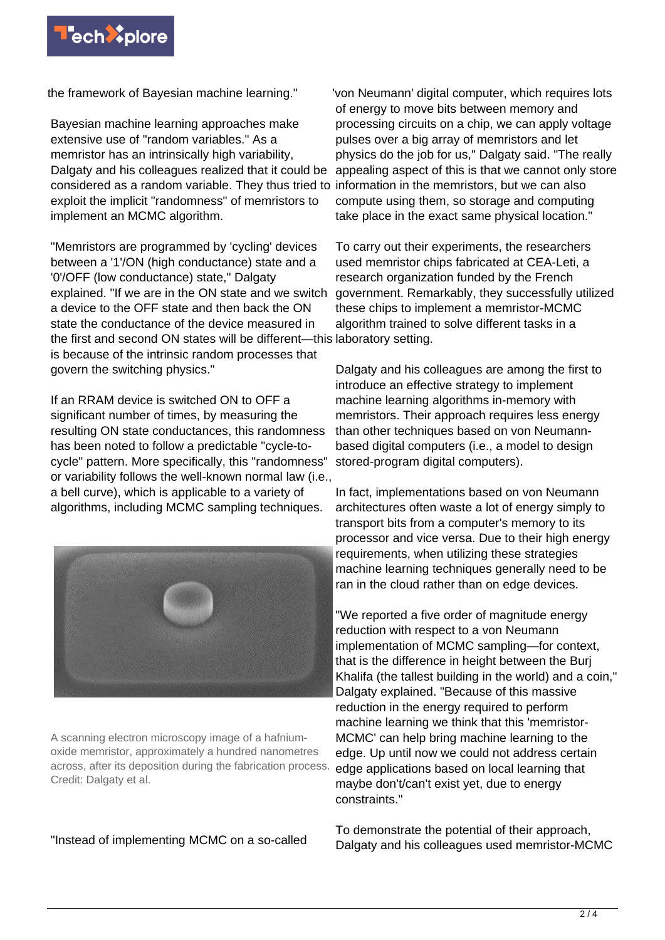

the framework of Bayesian machine learning."

Bayesian machine learning approaches make extensive use of "random variables." As a memristor has an intrinsically high variability, Dalgaty and his colleagues realized that it could be considered as a random variable. They thus tried to information in the memristors, but we can also exploit the implicit "randomness" of memristors to implement an MCMC algorithm.

"Memristors are programmed by 'cycling' devices between a '1'/ON (high conductance) state and a '0'/OFF (low conductance) state," Dalgaty explained. "If we are in the ON state and we switch a device to the OFF state and then back the ON state the conductance of the device measured in the first and second ON states will be different—this laboratory setting. is because of the intrinsic random processes that govern the switching physics."

If an RRAM device is switched ON to OFF a significant number of times, by measuring the resulting ON state conductances, this randomness has been noted to follow a predictable "cycle-tocycle" pattern. More specifically, this "randomness" or variability follows the well-known normal law (i.e., a bell curve), which is applicable to a variety of algorithms, including MCMC sampling techniques.



A scanning electron microscopy image of a hafniumoxide memristor, approximately a hundred nanometres across, after its deposition during the fabrication process. Credit: Dalgaty et al.

"Instead of implementing MCMC on a so-called

'von Neumann' digital computer, which requires lots of energy to move bits between memory and processing circuits on a chip, we can apply voltage pulses over a big array of memristors and let physics do the job for us," Dalgaty said. "The really appealing aspect of this is that we cannot only store compute using them, so storage and computing take place in the exact same physical location."

To carry out their experiments, the researchers used memristor chips fabricated at CEA-Leti, a research organization funded by the French government. Remarkably, they successfully utilized these chips to implement a memristor-MCMC algorithm trained to solve different tasks in a

Dalgaty and his colleagues are among the first to introduce an effective strategy to implement machine learning algorithms in-memory with memristors. Their approach requires less energy than other techniques based on von Neumannbased digital computers (i.e., a model to design stored-program digital computers).

In fact, implementations based on von Neumann architectures often waste a lot of energy simply to transport bits from a computer's memory to its processor and vice versa. Due to their high energy requirements, when utilizing these strategies machine learning techniques generally need to be ran in the cloud rather than on edge devices.

"We reported a five order of magnitude energy reduction with respect to a von Neumann implementation of MCMC sampling—for context, that is the difference in height between the Burj Khalifa (the tallest building in the world) and a coin," Dalgaty explained. "Because of this massive reduction in the energy required to perform machine learning we think that this 'memristor-MCMC' can help bring machine learning to the edge. Up until now we could not address certain edge applications based on local learning that maybe don't/can't exist yet, due to energy constraints."

To demonstrate the potential of their approach, Dalgaty and his colleagues used memristor-MCMC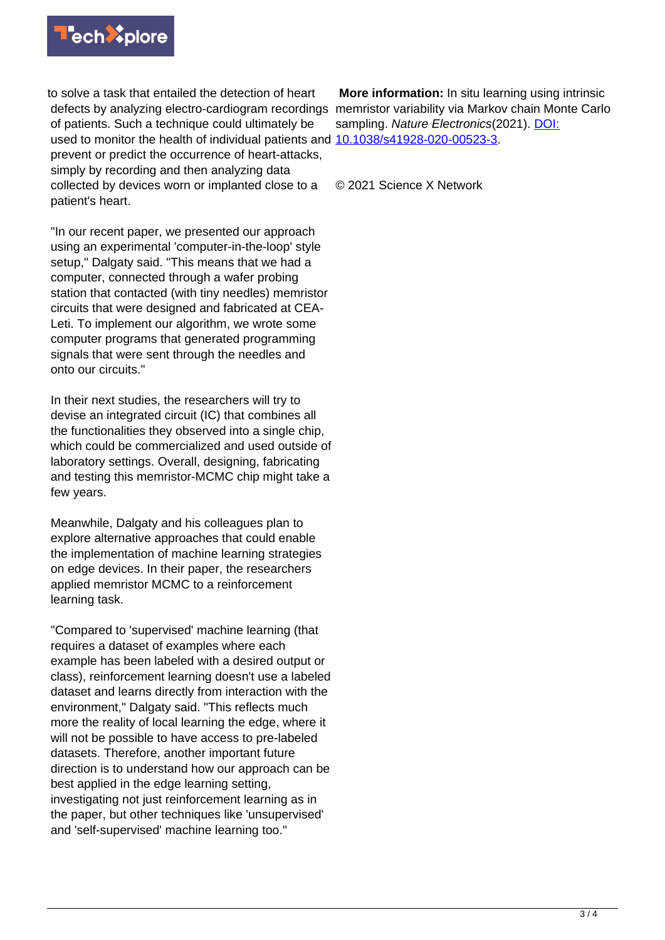

to solve a task that entailed the detection of heart defects by analyzing electro-cardiogram recordings memristor variability via Markov chain Monte Carlo of patients. Such a technique could ultimately be used to monitor the health of individual patients and [10.1038/s41928-020-00523-3](http://dx.doi.org/10.1038/s41928-020-00523-3). prevent or predict the occurrence of heart-attacks, simply by recording and then analyzing data collected by devices worn or implanted close to a patient's heart.

"In our recent paper, we presented our approach using an experimental 'computer-in-the-loop' style setup," Dalgaty said. "This means that we had a computer, connected through a wafer probing station that contacted (with tiny needles) memristor circuits that were designed and fabricated at CEA-Leti. To implement our algorithm, we wrote some computer programs that generated programming signals that were sent through the needles and onto our circuits."

In their next studies, the researchers will try to devise an integrated circuit (IC) that combines all the functionalities they observed into a single chip, which could be commercialized and used outside of laboratory settings. Overall, designing, fabricating and testing this memristor-MCMC chip might take a few years.

Meanwhile, Dalgaty and his colleagues plan to explore alternative approaches that could enable the implementation of machine learning strategies on edge devices. In their paper, the researchers applied memristor MCMC to a reinforcement learning task.

"Compared to 'supervised' machine learning (that requires a dataset of examples where each example has been labeled with a desired output or class), reinforcement learning doesn't use a labeled dataset and learns directly from interaction with the environment," Dalgaty said. "This reflects much more the reality of local learning the edge, where it will not be possible to have access to pre-labeled datasets. Therefore, another important future direction is to understand how our approach can be best applied in the edge learning setting, investigating not just reinforcement learning as in the paper, but other techniques like 'unsupervised' and 'self-supervised' machine learning too."

 **More information:** In situ learning using intrinsic sampling. Nature Electronics(2021). [DOI:](http://dx.doi.org/10.1038/s41928-020-00523-3)

© 2021 Science X Network